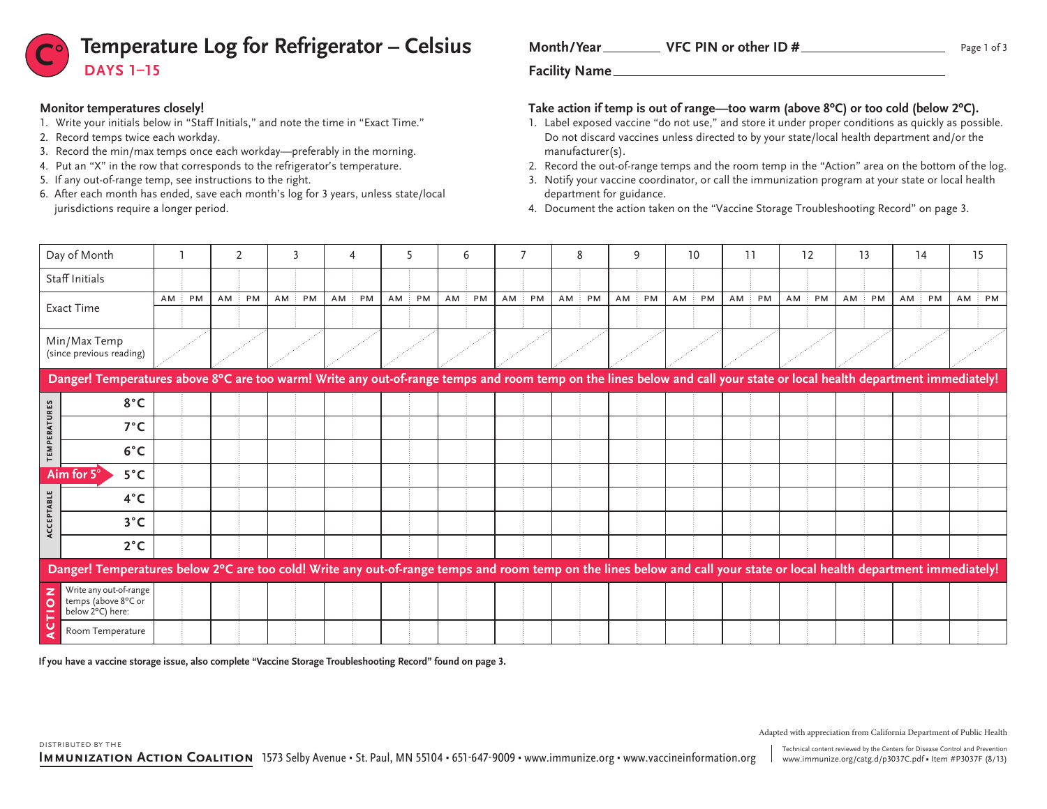

### **Monitor temperatures closely!**

- 1. Write your initials below in "Staff Initials," and note the time in "Exact Time."
- 2. Record temps twice each workday.
- 3. Record the min/max temps once each workday—preferably in the morning.
- 4. Put an "X" in the row that corresponds to the refrigerator's temperature.
- 5. If any out-of-range temp, see instructions to the right.
- 6. After each month has ended, save each month's log for 3 years, unless state/local jurisdictions require a longer period.

| Month/Year | VFC PIN or other ID $#$ |  |
|------------|-------------------------|--|
|            |                         |  |

### **Take action if temp is out of range—too warm (above 8ºC) or too cold (below 2ºC).**

- 1. Label exposed vaccine "do not use," and store it under proper conditions as quickly as possible. Do not discard vaccines unless directed to by your state/local health department and/or the manufacturer(s).
- 2. Record the out-of-range temps and the room temp in the "Action" area on the bottom of the log.
- 3. Notify your vaccine coordinator, or call the immunization program at your state or local health department for guidance.
- 4. Document the action taken on the "Vaccine Storage Troubleshooting Record" on page 3.

|                           | Day of Month                                                                                                                                                           |    |    |    | $\overline{2}$ |  |       | 4    |    |    |    |  | 6     |       | 8     |    | 9  |    | 10 | 11 |       |        | 12 |    | 13 |        | 14 | 15 |    |
|---------------------------|------------------------------------------------------------------------------------------------------------------------------------------------------------------------|----|----|----|----------------|--|-------|------|----|----|----|--|-------|-------|-------|----|----|----|----|----|-------|--------|----|----|----|--------|----|----|----|
|                           | Staff Initials                                                                                                                                                         |    |    |    |                |  |       |      |    |    |    |  |       |       |       |    |    |    |    |    |       |        |    |    |    |        |    |    |    |
|                           | Exact Time                                                                                                                                                             | AM | PM | AM | PM             |  | AM PM | AM : | PM | AM | PM |  | AM PM | AM PM | AM PM | AM | PM | AM | PM |    | AM PM | $AM$ : | PM | AM | PM | $AM$ : | PM | AM | PM |
|                           | Min/Max Temp<br>(since previous reading)                                                                                                                               |    |    |    |                |  |       |      |    |    |    |  |       |       |       |    |    |    |    |    |       |        |    |    |    |        |    |    |    |
|                           | Danger! Temperatures above 8°C are too warm! Write any out-of-range temps and room temp on the lines below and call your state or local health department immediately! |    |    |    |                |  |       |      |    |    |    |  |       |       |       |    |    |    |    |    |       |        |    |    |    |        |    |    |    |
| 53<br>$\approx$           | $8^{\circ}$ C                                                                                                                                                          |    |    |    |                |  |       |      |    |    |    |  |       |       |       |    |    |    |    |    |       |        |    |    |    |        |    |    |    |
| $\Rightarrow$<br>RAT<br>ш | $7^{\circ}$ C                                                                                                                                                          |    |    |    |                |  |       |      |    |    |    |  |       |       |       |    |    |    |    |    |       |        |    |    |    |        |    |    |    |
| $\sim$<br>Σ<br>ш          | $6^{\circ}$ C                                                                                                                                                          |    |    |    |                |  |       |      |    |    |    |  |       |       |       |    |    |    |    |    |       |        |    |    |    |        |    |    |    |
|                           | Aim for $5^\circ$<br>$5^{\circ}$ C                                                                                                                                     |    |    |    |                |  |       |      |    |    |    |  |       |       |       |    |    |    |    |    |       |        |    |    |    |        |    |    |    |
| $\blacksquare$            | $4^{\circ}$ C                                                                                                                                                          |    |    |    |                |  |       |      |    |    |    |  |       |       |       |    |    |    |    |    |       |        |    |    |    |        |    |    |    |
| <b>CEPTAI</b>             | $3^{\circ}$ C                                                                                                                                                          |    |    |    |                |  |       |      |    |    |    |  |       |       |       |    |    |    |    |    |       |        |    |    |    |        |    |    |    |
| š                         | $2^{\circ}C$                                                                                                                                                           |    |    |    |                |  |       |      |    |    |    |  |       |       |       |    |    |    |    |    |       |        |    |    |    |        |    |    |    |
|                           | Danger! Temperatures below 2°C are too cold! Write any out-of-range temps and room temp on the lines below and call your state or local health department immediately! |    |    |    |                |  |       |      |    |    |    |  |       |       |       |    |    |    |    |    |       |        |    |    |    |        |    |    |    |
| O                         | Write any out-of-range<br>temps (above 8°C or<br>below 2°C) here:                                                                                                      |    |    |    |                |  |       |      |    |    |    |  |       |       |       |    |    |    |    |    |       |        |    |    |    |        |    |    |    |
|                           | Room Temperature                                                                                                                                                       |    |    |    |                |  |       |      |    |    |    |  |       |       |       |    |    |    |    |    |       |        |    |    |    |        |    |    |    |

**If you have a vaccine storage issue, also complete "Vaccine Storage Troubleshooting Record" found on page 3.**

Technical content reviewed by the Centers for Disease Control and Prevention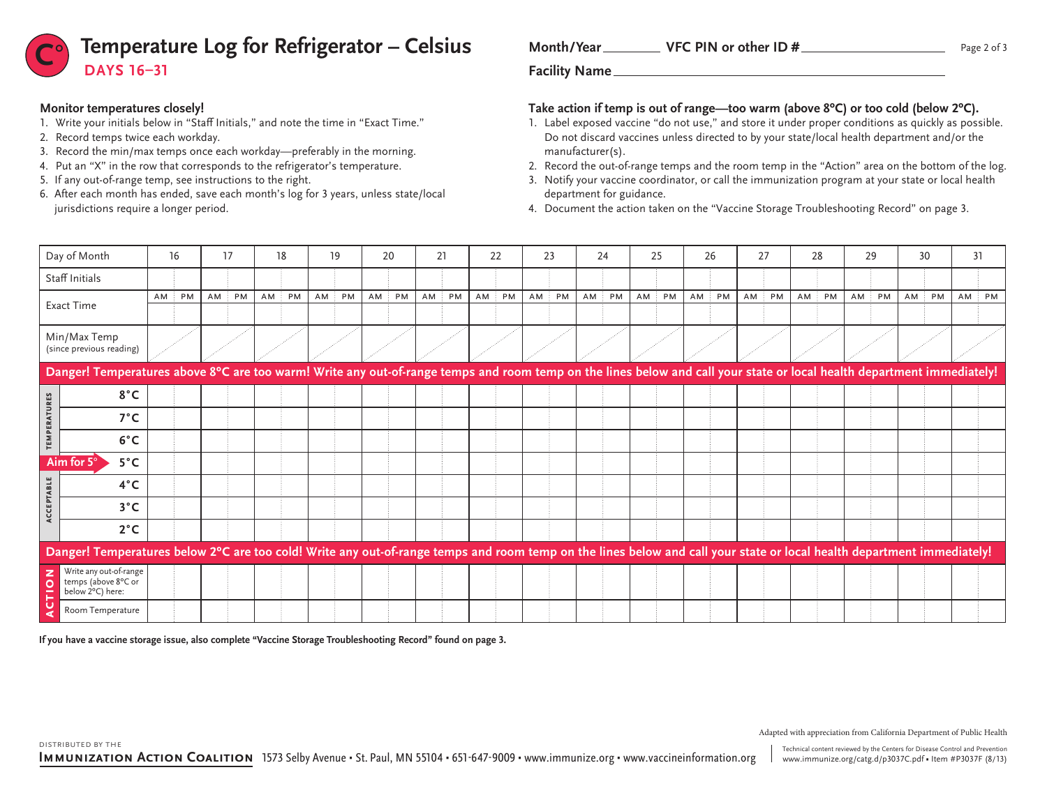

#### **Monitor temperatures closely!**

distributed by the

- 1. Write your initials below in "Staff Initials," and note the time in "Exact Time."
- 2. Record temps twice each workday.
- 3. Record the min/max temps once each workday—preferably in the morning.
- 4. Put an "X" in the row that corresponds to the refrigerator's temperature.
- 5. If any out-of-range temp, see instructions to the right.
- 6. After each month has ended, save each month's log for 3 years, unless state/local jurisdictions require a longer period.

| Month/Year | VFC PIN or other ID $#$ |
|------------|-------------------------|
|            |                         |

### **Take action if temp is out of range—too warm (above 8ºC) or too cold (below 2ºC).**

- 1. Label exposed vaccine "do not use," and store it under proper conditions as quickly as possible. Do not discard vaccines unless directed to by your state/local health department and/or the manufacturer(s).
- 2. Record the out-of-range temps and the room temp in the "Action" area on the bottom of the log.
- 3. Notify your vaccine coordinator, or call the immunization program at your state or local health department for guidance.

4. Document the action taken on the "Vaccine Storage Troubleshooting Record" on page 3.

|                 | Day of Month                                                                                                                                                           | 16     |           |    | 17        | 18    | 19           |    | 20        | 21               | 22    |        | 23 | 24        | 25    |        | 26 | 27           | 28     |    | 29     |    | 30             | 31        |  |
|-----------------|------------------------------------------------------------------------------------------------------------------------------------------------------------------------|--------|-----------|----|-----------|-------|--------------|----|-----------|------------------|-------|--------|----|-----------|-------|--------|----|--------------|--------|----|--------|----|----------------|-----------|--|
|                 | Staff Initials                                                                                                                                                         |        |           |    |           |       |              |    |           |                  |       |        |    |           |       |        |    |              |        |    |        |    |                |           |  |
|                 | Exact Time                                                                                                                                                             | $AM$ : | <b>PM</b> | AM | <b>PM</b> | AM PM | $AM$ :<br>PM | AM | <b>PM</b> | AM:<br><b>PM</b> | AM PM | $AM$ : | PM | $AM$ $PM$ | AM PM | $AM$ : | PM | $AM$ :<br>PM | $AM$ : | PM | $AM$ : | PM | $AM \nvert PM$ | $AM$ : PM |  |
|                 | Min/Max Temp<br>(since previous reading)                                                                                                                               |        |           |    |           |       |              |    |           |                  |       |        |    |           |       |        |    |              |        |    |        |    |                |           |  |
|                 | Danger! Temperatures above 8°C are too warm! Write any out-of-range temps and room temp on the lines below and call your state or local health department immediately! |        |           |    |           |       |              |    |           |                  |       |        |    |           |       |        |    |              |        |    |        |    |                |           |  |
|                 | 8°C                                                                                                                                                                    |        |           |    |           |       |              |    |           |                  |       |        |    |           |       |        |    |              |        |    |        |    |                |           |  |
| PERATURES       | $7^{\circ}$ C                                                                                                                                                          |        |           |    |           |       |              |    |           |                  |       |        |    |           |       |        |    |              |        |    |        |    |                |           |  |
| EM <sub>I</sub> | $6^{\circ}$ C                                                                                                                                                          |        |           |    |           |       |              |    |           |                  |       |        |    |           |       |        |    |              |        |    |        |    |                |           |  |
|                 | Aim for 5°<br>$5^{\circ}$ C                                                                                                                                            |        |           |    |           |       |              |    |           |                  |       |        |    |           |       |        |    |              |        |    |        |    |                |           |  |
|                 | $4^{\circ}$ C                                                                                                                                                          |        |           |    |           |       |              |    |           |                  |       |        |    |           |       |        |    |              |        |    |        |    |                |           |  |
| ACCEPTABLE      | $3^{\circ}$ C                                                                                                                                                          |        |           |    |           |       |              |    |           |                  |       |        |    |           |       |        |    |              |        |    |        |    |                |           |  |
|                 | $2^{\circ}$ C                                                                                                                                                          |        |           |    |           |       |              |    |           |                  |       |        |    |           |       |        |    |              |        |    |        |    |                |           |  |
|                 | Danger! Temperatures below 2°C are too cold! Write any out-of-range temps and room temp on the lines below and call your state or local health department immediately! |        |           |    |           |       |              |    |           |                  |       |        |    |           |       |        |    |              |        |    |        |    |                |           |  |
| $\sim$          | Write any out-of-range<br>temps (above 8°C or<br>below 2°C) here:                                                                                                      |        |           |    |           |       |              |    |           |                  |       |        |    |           |       |        |    |              |        |    |        |    |                |           |  |
|                 | Room Temperature                                                                                                                                                       |        |           |    |           |       |              |    |           |                  |       |        |    |           |       |        |    |              |        |    |        |    |                |           |  |

**If you have a vaccine storage issue, also complete "Vaccine Storage Troubleshooting Record" found on page 3.**

Technical content reviewed by the Centers for Disease Control and Prevention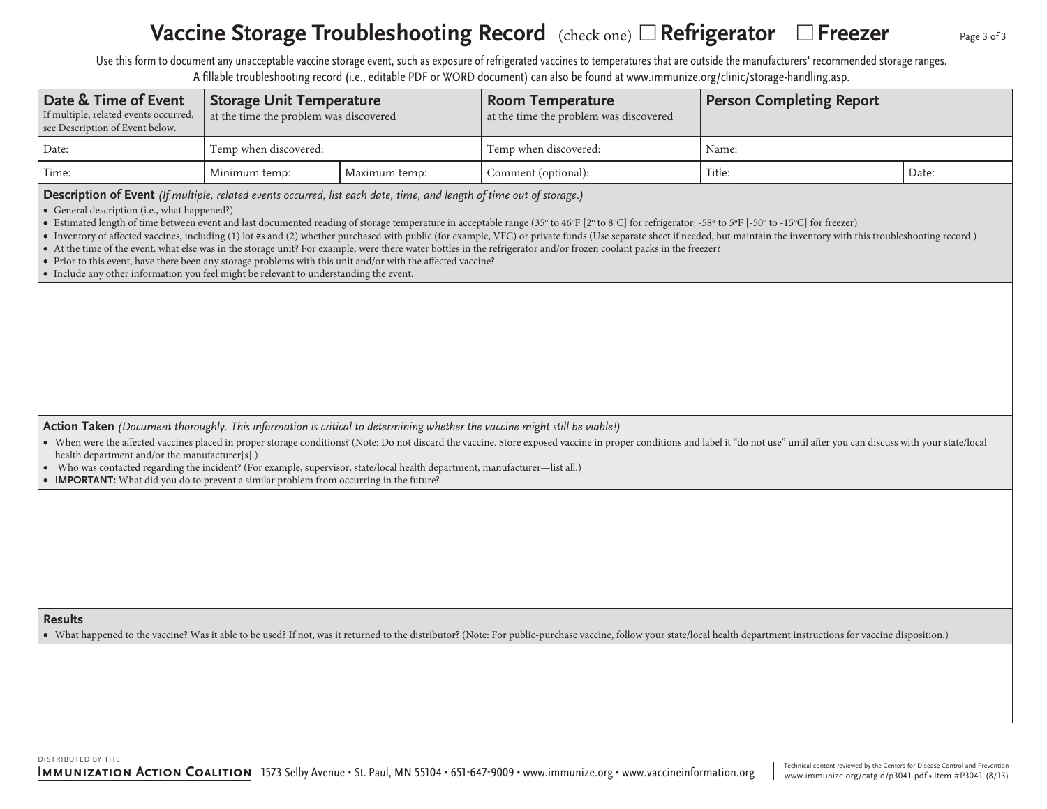# Vaccine Storage Troubleshooting Record (check one) □ Refrigerator □ Freezer

Use this form to document any unacceptable vaccine storage event, such as exposure of refrigerated vaccines to temperatures that are outside the manufacturers' recommended storage ranges.

|                                                                                                                                                                                                                                                                                                                                                                                 |                                                                           |               | A fillable troubleshooting record (i.e., editable PDF or WORD document) can also be found at www.immunize.org/clinic/storage-handling.asp.                                                                                                                                                                                                                                                                                                                                                                                                                                                                   |                                 |       |  |  |  |  |
|---------------------------------------------------------------------------------------------------------------------------------------------------------------------------------------------------------------------------------------------------------------------------------------------------------------------------------------------------------------------------------|---------------------------------------------------------------------------|---------------|--------------------------------------------------------------------------------------------------------------------------------------------------------------------------------------------------------------------------------------------------------------------------------------------------------------------------------------------------------------------------------------------------------------------------------------------------------------------------------------------------------------------------------------------------------------------------------------------------------------|---------------------------------|-------|--|--|--|--|
| Date & Time of Event<br>If multiple, related events occurred,<br>see Description of Event below.                                                                                                                                                                                                                                                                                | <b>Storage Unit Temperature</b><br>at the time the problem was discovered |               | <b>Room Temperature</b><br>at the time the problem was discovered                                                                                                                                                                                                                                                                                                                                                                                                                                                                                                                                            | <b>Person Completing Report</b> |       |  |  |  |  |
| Date:                                                                                                                                                                                                                                                                                                                                                                           | Temp when discovered:                                                     |               | Temp when discovered:                                                                                                                                                                                                                                                                                                                                                                                                                                                                                                                                                                                        | Name:                           |       |  |  |  |  |
| Time:                                                                                                                                                                                                                                                                                                                                                                           | Minimum temp:                                                             | Maximum temp: | Comment (optional):                                                                                                                                                                                                                                                                                                                                                                                                                                                                                                                                                                                          | Title:                          | Date: |  |  |  |  |
| Description of Event (If multiple, related events occurred, list each date, time, and length of time out of storage.)<br>• General description (i.e., what happened?)<br>• Prior to this event, have there been any storage problems with this unit and/or with the affected vaccine?<br>• Include any other information you feel might be relevant to understanding the event. |                                                                           |               | • Estimated length of time between event and last documented reading of storage temperature in acceptable range (35° to 46°F [2° to 8°C] for refrigerator; -58° to 5°F [-50° to -15°C] for freezer)<br>• Inventory of affected vaccines, including (1) lot #s and (2) whether purchased with public (for example, VFC) or private funds (Use separate sheet if needed, but maintain the inventory with this troubleshooting record.)<br>• At the time of the event, what else was in the storage unit? For example, were there water bottles in the refrigerator and/or frozen coolant packs in the freezer? |                                 |       |  |  |  |  |
| health department and/or the manufacturer[s].)                                                                                                                                                                                                                                                                                                                                  |                                                                           |               | Action Taken (Document thoroughly. This information is critical to determining whether the vaccine might still be viable!)<br>• When were the affected vaccines placed in proper storage conditions? (Note: Do not discard the vaccine. Store exposed vaccine in proper conditions and label it "do not use" until after you can discuss with your state/loc                                                                                                                                                                                                                                                 |                                 |       |  |  |  |  |
| Who was contacted regarding the incident? (For example, supervisor, state/local health department, manufacturer—list all.)<br>• IMPORTANT: What did you do to prevent a similar problem from occurring in the future?                                                                                                                                                           |                                                                           |               |                                                                                                                                                                                                                                                                                                                                                                                                                                                                                                                                                                                                              |                                 |       |  |  |  |  |

#### **Results**

• What happened to the vaccine? Was it able to be used? If not, was it returned to the distributor? (Note: For public-purchase vaccine, follow your state/local health department instructions for vaccine disposition.)

Page 3 of 3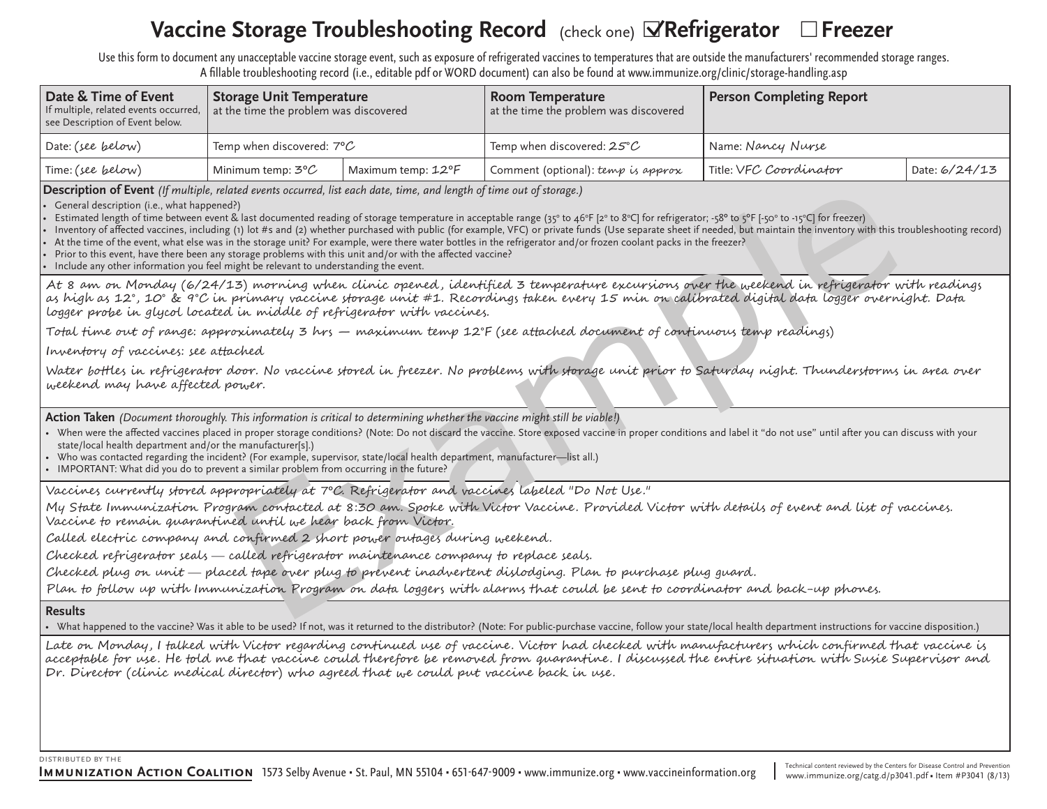# **Vaccine Storage Troubleshooting Record** (check one) **⊡Refrigerator** □Freezer

Use this form to document any unacceptable vaccine storage event, such as exposure of refrigerated vaccines to temperatures that are outside the manufacturers' recommended storage ranges. A fillable troubleshooting record (i.e., editable pdf or WORD document) can also be found at www.immunize.org/clinic/storage-handling.asp

| Date & Time of Event<br>If multiple, related events occurred,<br>see Description of Event below. | <b>Storage Unit Temperature</b><br>at the time the problem was discovered |                    | Room Temperature<br>at the time the problem was discovered | <b>Person Completing Report</b> |               |  |  |  |  |
|--------------------------------------------------------------------------------------------------|---------------------------------------------------------------------------|--------------------|------------------------------------------------------------|---------------------------------|---------------|--|--|--|--|
| Date: (see below)                                                                                | Temp when discovered: $7^{\circ}$ C                                       |                    | Temp when discovered: 25°C                                 | Name: Nancy Nurse               |               |  |  |  |  |
| Time: (see below)                                                                                | Minimum temp: $3^{\circ}$ C                                               | Maximum temp: 12°F | Comment (optional): temp is approx                         | Title: VFC Coordinator          | Date: 6/24/13 |  |  |  |  |

**Description of Event** *(If multiple, related events occurred, list each date, time, and length of time out of storage.)*

General description (i.e., what happened?)

• Estimated length of time between event & last documented reading of storage temperature in acceptable range (35° to 46°F [2° to 8°C] for refrigerator; -58° to 5°F [-50° to -15°C] for freezer)

Inventory of affected vaccines, including (1) lot #s and (2) whether purchased with public (for example, VFC) or private funds (Use separate sheet if needed, but maintain the inventory with this troubleshooting record)

At the time of the event, what else was in the storage unit? For example, were there water bottles in the refrigerator and/or frozen coolant packs in the freezer?

Prior to this event, have there been any storage problems with this unit and/or with the affected vaccine?

Include any other information you feel might be relevant to understanding the event.

ideal of the cocarried, list each date, time, and length of time out of storage.)<br>The absorption results reading of storage immetative in encorrelation respective to the first cocarries last discussion in the standard read At 8 am on Monday (6/24/13) morning when clinic opened , identified 3 temperature excursions over the weekend in refrigerator with readings as high as 12°, 10° & 9°C in primary vaccine storage unit #1. Recordings taken every 15 min on calibrated digital data logger overnight. Data logger probe in glycol located in middle of refrigerator with vaccines.

Total time out of range: approximately 3 hrs — maximum temp 12°F (see attached document of continuous temp readings)

Inventory of vaccines: see attached

Water bottles in refrigerator door. No vaccine stored in freezer. No problems with storage unit prior to Saturday night. Thunderstorms in area over weekend may have affected power.

**Action Taken** *(Document thoroughly. This information is critical to determining whether the vaccine might still be viable!)*

- When were the affected vaccines placed in proper storage conditions? (Note: Do not discard the vaccine. Store exposed vaccine in proper conditions and label it "do not use" until after you can discuss with your state/local health department and/or the manufacturer[s].)
- • Who was contacted regarding the incident? (For example, supervisor, state/local health department, manufacturer—list all.)
- IMPORTANT: What did you do to prevent a similar problem from occurring in the future?

Vaccines currently stored appropriately at 7ºC. Refrigerator and vaccines labeled "Do Not Use."

My State Immunization Program contacted at 8:30 am. Spoke with Victor Vaccine. Provided Victor with details of event and list of vaccines. Vaccine to remain quarantined until we hear back from Victor.

Called electric company and confirmed 2 short power outages during weekend.

Checked refrigerator seals called refrigerator maintenance company to replace seals.

Checked plug on unit placed tape over plug to prevent inadvertent dislodging. Plan to purchase plug guard.

Plan to follow up with Immunization Program on data loggers with alarms that could be sent to coordinator and back-up phones.

### **Results**

• What happened to the vaccine? Was it able to be used? If not, was it returned to the distributor? (Note: For public-purchase vaccine, follow your state/local health department instructions for vaccine disposition.)

Late on Monday, I talked with Victor regarding continued use of vaccine. Victor had checked with manufacturers which confirmed that vaccine is acceptable for use. He told me that vaccine could therefore be removed from quarantine. I discussed the entire situation with Susie Supervisor and Dr. Director (clinic medical director) who agreed that we could put vaccine back in use .